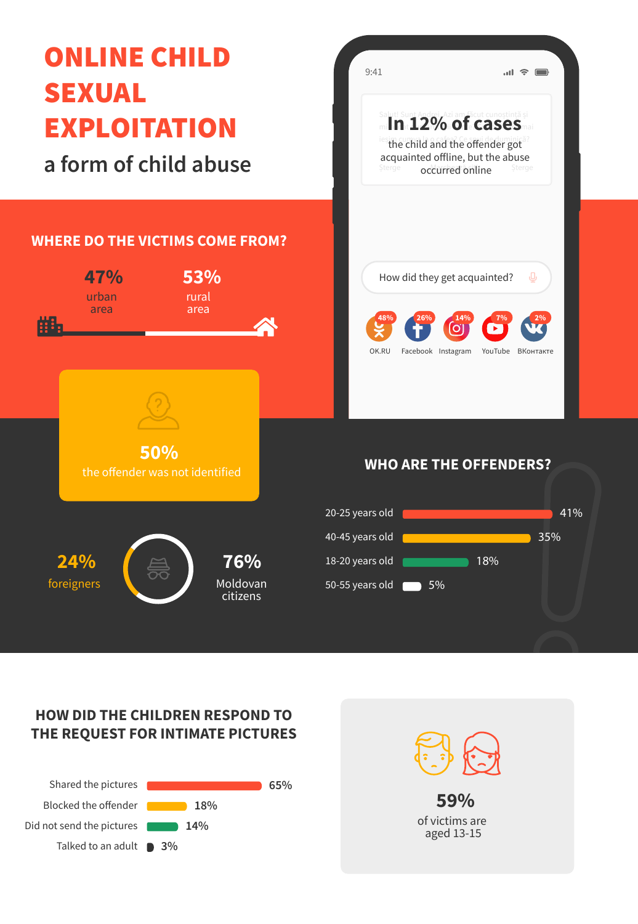

#### **HOW DID THE CHILDREN RESPOND TO THE REQUEST FOR INTIMATE PICTURES**